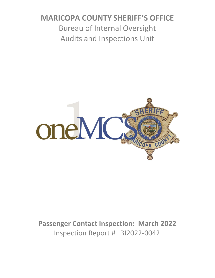# **MARICOPA COUNTY SHERIFF'S OFFICE** Bureau of Internal Oversight Audits and Inspections Unit



**Passenger Contact Inspection: March 2022** Inspection Report # BI2022-0042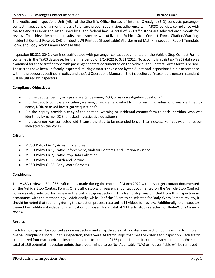The Audits and Inspections Unit (AIU) of the Sheriff's Office Bureau of Internal Oversight (BIO) conducts passenger contact inspections on a monthly basis to ensure proper supervision, adherence with MCSO policies, compliance with the Melendres Order and established local and federal law. A total of 35 traffic stops are selected each month for review. To achieve inspection results the inspector will utilize the Vehicle Stop Contact Form, Citation/Warning, Incidental Contact Receipt, CAD printout, JWI Printout (if applicable) AIU-designed Matrix, Inspection Report Template Form, and Body Worn Camera footage files.

Inspection BI2022-0042 examines traffic stops with passenger contact documented on the Vehicle Stop Contact Forms contained in the TraCS database, for the time period of 3/1/2022 to 3/31/2022. To accomplish this task TraCS data was examined for those traffic stops with passenger contact documented on the Vehicle Stop Contact Forms for this period. These stops have been uniformly inspected utilizing a matrix developed by the Audits and Inspections Unit in accordance with the procedures outlined in policy and the AIU Operations Manual. In the inspection, a "reasonable person" standard will be utilized by inspectors.

## **Compliance Objectives:**

- Did the deputy identify any passenger(s) by name, DOB, or ask investigative questions?
- Did the deputy complete a citation, warning or incidental contact form for each individual who was identified by name, DOB, or asked investigative questions?
- Did the deputy provide a copy of the citation, warning or incidental contact form to each individual who was identified by name, DOB, or asked investigative questions?
- If a passenger was contacted, did it cause the stop to be extended longer than necessary, if yes was the reason indicated on the VSCF?

## **Criteria:**

- MCSO Policy EA-11, Arrest Procedures
- MCSO Policy EB-1, Traffic Enforcement, Violator Contacts, and Citation Issuance
- MCSO Policy EB-2, Traffic Stop Data Collection
- MCSO Policy GJ-3, Search and Seizure
- MCSO Policy GJ-35, Body-Worn Cameras

## **Conditions:**

The MCSO reviewed 34 of 35 traffic stops made during the month of March 2022 with passenger contact documented on the Vehicle Stop Contact Forms. One traffic stop with passenger contact documented on the Vehicle Stop Contact Form was also selected for review in the traffic stop inspection. This traffic stop was omitted from this inspection in accordance with the methodology. Additionally, while 10 of the 35 are to be selected for Body-Worn Camera review, it should be noted that rounding during the selection process resulted in 11 videos for review. Additionally, the inspector viewed two additional videos for clarification purposes, for a total of 13 traffic stops selected for Body-Worn Camera review.

## **Results:**

Each traffic stop will be counted as one inspection and all applicable matrix criteria inspection points will factor into an over-all compliance score. In this inspection, there were 34 traffic stops that met the criteria for inspection. Each traffic stop utilized four matrix criteria inspection points for a total of 136 potential matrix criteria inspection points. From the total of 136 potential inspection points those determined to be Not Applicable (N/A) or not verifiable will be removed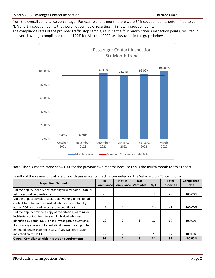from the overall compliance percentage. For example, this month there were 34 inspection points determined to be N/A and 5 inspection points that were not verifiable, resulting in 98 total inspection points.

The compliance rates of the provided traffic stop sample, utilizing the four matrix criteria inspection points, resulted in an overall average compliance rate of **100%** for March of 2022, as illustrated in the graph below.



Note: The six-month trend shows 0% for the previous two months because this is the fourth month for this report.

| <b>Inspection Elements</b>                                | <b>In</b> | Not In                           | <b>Not</b> |     | <b>Total</b> | Compliance |
|-----------------------------------------------------------|-----------|----------------------------------|------------|-----|--------------|------------|
|                                                           |           | Compliance Compliance Verifiable |            | N/A | Inspected    | Rate       |
| Did the deputy identify any passenger(s) by name, DOB, or |           |                                  |            |     |              |            |
| ask investigative questions?                              | 25        | 0                                | 0          | 9   | 25           | 100.00%    |
| Did the deputy complete a citation, warning or incidental |           |                                  |            |     |              |            |
| contact form for each individual who was identified by    |           |                                  |            |     |              |            |
| name, DOB, or asked investigative questions?              | 24        | 0                                | 0          | 10  | 24           | 100.00%    |
| Did the deputy provide a copy of the citation, warning or |           |                                  |            |     |              |            |
| lincidental contact form to each individual who was       |           |                                  |            |     |              |            |
| lidentified by name, DOB, or ask investigative questions? | 19        | 0                                | 5.         | 11  | 19           | 100.00%    |
| If a passenger was contacted, did it cause the stop to be |           |                                  |            |     |              |            |
| extended longer than necessary, if yes was the reason     |           |                                  |            |     |              |            |
| lindicated on the VSCF?                                   | 30        | $\Omega$                         | $\Omega$   | 4   | 30           | 100.00%    |
| <b>Overall Compliance with inspection requirements</b>    | 98        |                                  | 5.         | 34  | 98           | 100.00%    |

Results of the review of traffic stops with passenger contact documented on the Vehicle Stop Contact Form: